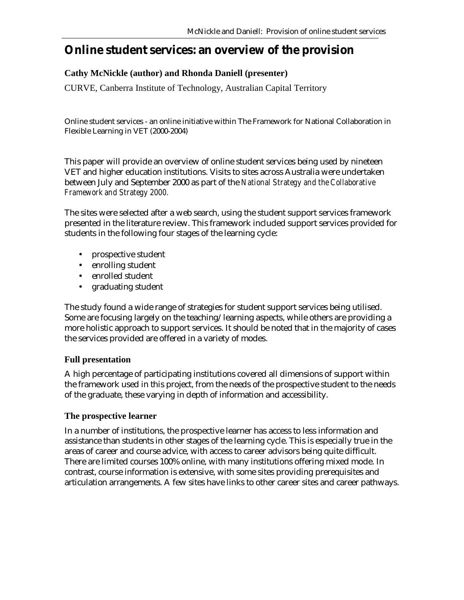# **Online student services: an overview of the provision**

## **Cathy McNickle (author) and Rhonda Daniell (presenter)**

CURVE, Canberra Institute of Technology, Australian Capital Territory

Online student services - an online initiative within The Framework for National Collaboration in Flexible Learning in VET (2000-2004)

This paper will provide an overview of online student services being used by nineteen VET and higher education institutions. Visits to sites across Australia were undertaken between July and September 2000 as part of the *National Strategy and the Collaborative Framework and Strategy 2000.* 

The sites were selected after a web search, using the student support services framework presented in the literature review. This framework included support services provided for students in the following four stages of the learning cycle:

- prospective student
- enrolling student
- enrolled student
- graduating student

The study found a wide range of strategies for student support services being utilised. Some are focusing largely on the teaching/learning aspects, while others are providing a more holistic approach to support services. It should be noted that in the majority of cases the services provided are offered in a variety of modes.

#### **Full presentation**

A high percentage of participating institutions covered all dimensions of support within the framework used in this project, from the needs of the prospective student to the needs of the graduate, these varying in depth of information and accessibility.

#### **The prospective learner**

In a number of institutions, the prospective learner has access to less information and assistance than students in other stages of the learning cycle. This is especially true in the areas of career and course advice, with access to career advisors being quite difficult. There are limited courses 100% online, with many institutions offering mixed mode. In contrast, course information is extensive, with some sites providing prerequisites and articulation arrangements. A few sites have links to other career sites and career pathways.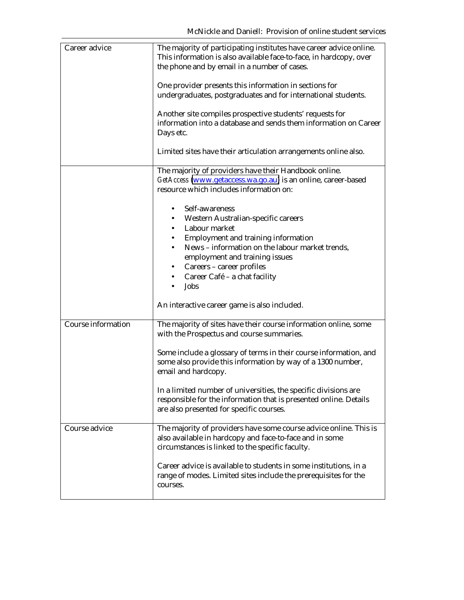| Career advice             | The majority of participating institutes have career advice online.<br>This information is also available face-to-face, in hardcopy, over<br>the phone and by email in a number of cases. |
|---------------------------|-------------------------------------------------------------------------------------------------------------------------------------------------------------------------------------------|
|                           | One provider presents this information in sections for<br>undergraduates, postgraduates and for international students.                                                                   |
|                           | Another site compiles prospective students' requests for<br>information into a database and sends them information on Career<br>Days etc.                                                 |
|                           | Limited sites have their articulation arrangements online also.                                                                                                                           |
|                           | The majority of providers have their Handbook online.<br>GetAccess (www.getaccess.wa.go.au) is an online, career-based<br>resource which includes information on:                         |
|                           | Self-awareness<br>Western Australian-specific careers<br>Labour market<br>Employment and training information                                                                             |
|                           | News - information on the labour market trends,<br>employment and training issues<br>Careers - career profiles                                                                            |
|                           | Career Café - a chat facility<br>Jobs                                                                                                                                                     |
|                           | An interactive career game is also included.                                                                                                                                              |
| <b>Course information</b> | The majority of sites have their course information online, some<br>with the Prospectus and course summaries.                                                                             |
|                           | Some include a glossary of terms in their course information, and<br>some also provide this information by way of a 1300 number,<br>email and hardcopy.                                   |
|                           | In a limited number of universities, the specific divisions are<br>responsible for the information that is presented online. Details<br>are also presented for specific courses.          |
| Course advice             | The majority of providers have some course advice online. This is<br>also available in hardcopy and face-to-face and in some<br>circumstances is linked to the specific faculty.          |
|                           | Career advice is available to students in some institutions, in a<br>range of modes. Limited sites include the prerequisites for the<br>courses.                                          |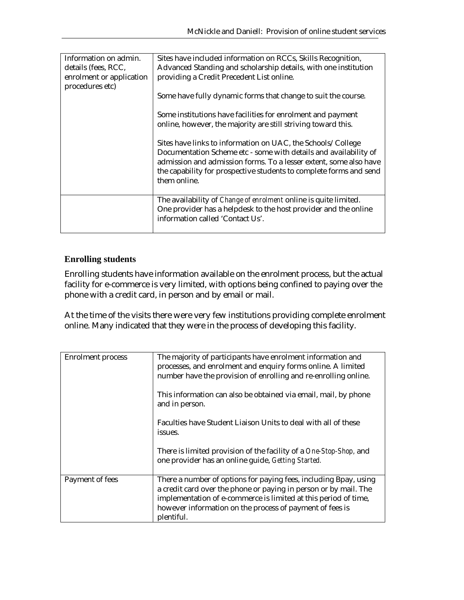| Information on admin.<br>details (fees, RCC,<br>enrolment or application<br>procedures etc) | Sites have included information on RCCs, Skills Recognition,<br>Advanced Standing and scholarship details, with one institution<br>providing a Credit Precedent List online.<br>Some have fully dynamic forms that change to suit the course.<br>Some institutions have facilities for enrolment and payment<br>online, however, the majority are still striving toward this.<br>Sites have links to information on UAC, the Schools/College<br>Documentation Scheme etc - some with details and availability of<br>admission and admission forms. To a lesser extent, some also have<br>the capability for prospective students to complete forms and send |
|---------------------------------------------------------------------------------------------|-------------------------------------------------------------------------------------------------------------------------------------------------------------------------------------------------------------------------------------------------------------------------------------------------------------------------------------------------------------------------------------------------------------------------------------------------------------------------------------------------------------------------------------------------------------------------------------------------------------------------------------------------------------|
|                                                                                             | them online.                                                                                                                                                                                                                                                                                                                                                                                                                                                                                                                                                                                                                                                |
|                                                                                             | The availability of <i>Change of enrolment</i> online is quite limited.<br>One provider has a helpdesk to the host provider and the online<br>information called 'Contact Us'.                                                                                                                                                                                                                                                                                                                                                                                                                                                                              |

#### **Enrolling students**

Enrolling students have information available on the enrolment process, but the actual facility for e-commerce is very limited, with options being confined to paying over the phone with a credit card, in person and by email or mail.

At the time of the visits there were very few institutions providing complete enrolment online. Many indicated that they were in the process of developing this facility.

| <b>Enrolment</b> process | The majority of participants have enrolment information and<br>processes, and enrolment and enquiry forms online. A limited<br>number have the provision of enrolling and re-enrolling online.<br>This information can also be obtained via email, mail, by phone                 |
|--------------------------|-----------------------------------------------------------------------------------------------------------------------------------------------------------------------------------------------------------------------------------------------------------------------------------|
|                          | and in person.<br>Faculties have Student Liaison Units to deal with all of these<br>issues.                                                                                                                                                                                       |
|                          | There is limited provision of the facility of a One-Stop-Shop, and<br>one provider has an online guide, Getting Started.                                                                                                                                                          |
| Payment of fees          | There a number of options for paying fees, including Bpay, using<br>a credit card over the phone or paying in person or by mail. The<br>implementation of e-commerce is limited at this period of time,<br>however information on the process of payment of fees is<br>plentiful. |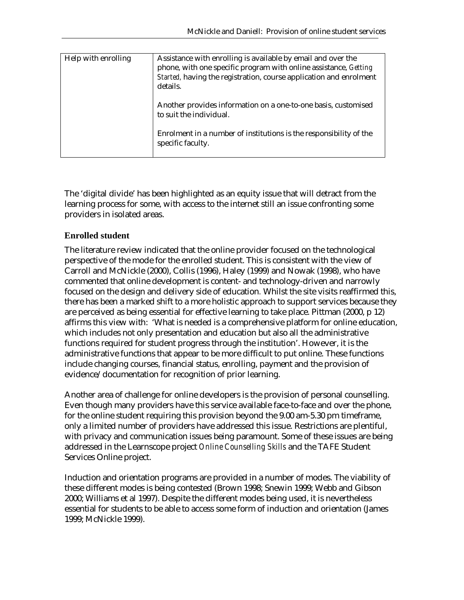| Help with enrolling | Assistance with enrolling is available by email and over the<br>phone, with one specific program with online assistance, Getting |
|---------------------|----------------------------------------------------------------------------------------------------------------------------------|
|                     | Started, having the registration, course application and enrolment                                                               |
|                     | details.                                                                                                                         |
|                     | Another provides information on a one-to-one basis, customised                                                                   |
|                     | to suit the individual.                                                                                                          |
|                     | Enrolment in a number of institutions is the responsibility of the                                                               |
|                     | specific faculty.                                                                                                                |
|                     |                                                                                                                                  |

The 'digital divide' has been highlighted as an equity issue that will detract from the learning process for some, with access to the internet still an issue confronting some providers in isolated areas.

#### **Enrolled student**

The literature review indicated that the online provider focused on the technological perspective of the mode for the enrolled student. This is consistent with the view of Carroll and McNickle (2000), Collis (1996), Haley (1999) and Nowak (1998), who have commented that online development is content- and technology-driven and narrowly focused on the design and delivery side of education*.* Whilst the site visits reaffirmed this, there has been a marked shift to a more holistic approach to support services because they are perceived as being essential for effective learning to take place. Pittman (2000, p 12) affirms this view with: 'What is needed is a comprehensive platform for online education, which includes not only presentation and education but also all the administrative functions required for student progress through the institution'. However, it is the administrative functions that appear to be more difficult to put online. These functions include changing courses, financial status, enrolling, payment and the provision of evidence/documentation for recognition of prior learning.

Another area of challenge for online developers is the provision of personal counselling. Even though many providers have this service available face-to-face and over the phone, for the online student requiring this provision beyond the 9.00 am-5.30 pm timeframe, only a limited number of providers have addressed this issue. Restrictions are plentiful, with privacy and communication issues being paramount. Some of these issues are being addressed in the Learnscope project *Online Counselling Skills* and the TAFE Student Services Online project.

Induction and orientation programs are provided in a number of modes. The viability of these different modes is being contested (Brown 1998; Snewin 1999; Webb and Gibson 2000; Williams et al 1997). Despite the different modes being used, it is nevertheless essential for students to be able to access some form of induction and orientation (James 1999; McNickle 1999).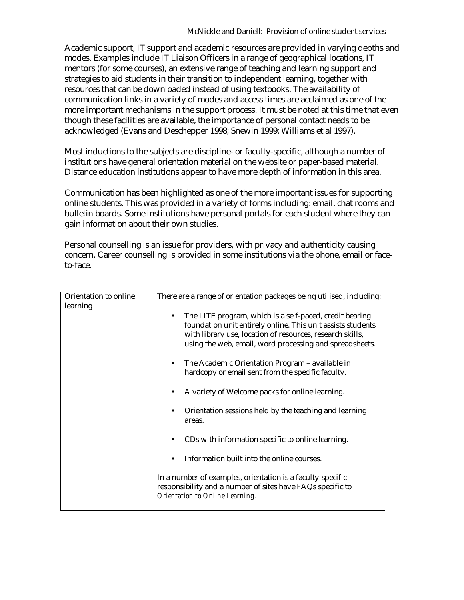Academic support, IT support and academic resources are provided in varying depths and modes. Examples include IT Liaison Officers in a range of geographical locations, IT mentors (for some courses), an extensive range of teaching and learning support and strategies to aid students in their transition to independent learning, together with resources that can be downloaded instead of using textbooks. The availability of communication links in a variety of modes and access times are acclaimed as one of the more important mechanisms in the support process. It must be noted at this time that even though these facilities are available, the importance of personal contact needs to be acknowledged (Evans and Deschepper 1998; Snewin 1999; Williams et al 1997).

Most inductions to the subjects are discipline- or faculty-specific, although a number of institutions have general orientation material on the website or paper-based material. Distance education institutions appear to have more depth of information in this area.

Communication has been highlighted as one of the more important issues for supporting online students. This was provided in a variety of forms including: email, chat rooms and bulletin boards. Some institutions have personal portals for each student where they can gain information about their own studies.

Personal counselling is an issue for providers, with privacy and authenticity causing concern. Career counselling is provided in some institutions via the phone, email or faceto-face.

| Orientation to online | There are a range of orientation packages being utilised, including: |
|-----------------------|----------------------------------------------------------------------|
| learning              |                                                                      |
|                       |                                                                      |
|                       | The LITE program, which is a self-paced, credit bearing              |
|                       | foundation unit entirely online. This unit assists students          |
|                       | with library use, location of resources, research skills,            |
|                       | using the web, email, word processing and spreadsheets.              |
|                       |                                                                      |
|                       | The Academic Orientation Program – available in                      |
|                       | hardcopy or email sent from the specific faculty.                    |
|                       |                                                                      |
|                       | A variety of Welcome packs for online learning.                      |
|                       |                                                                      |
|                       | Orientation sessions held by the teaching and learning               |
|                       | areas.                                                               |
|                       |                                                                      |
|                       | CDs with information specific to online learning.                    |
|                       |                                                                      |
|                       | Information built into the online courses.                           |
|                       |                                                                      |
|                       | In a number of examples, orientation is a faculty-specific           |
|                       | responsibility and a number of sites have FAQs specific to           |
|                       | Orientation to Online Learning.                                      |
|                       |                                                                      |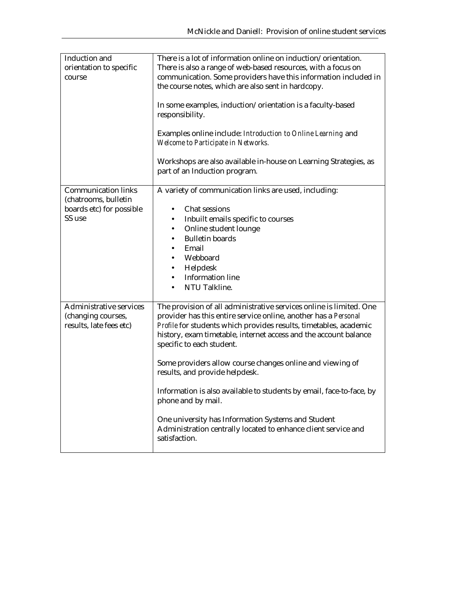| Induction and                                                                   | There is a lot of information online on induction/orientation.                                                                                                                                                                                                                                               |
|---------------------------------------------------------------------------------|--------------------------------------------------------------------------------------------------------------------------------------------------------------------------------------------------------------------------------------------------------------------------------------------------------------|
| orientation to specific                                                         | There is also a range of web-based resources, with a focus on                                                                                                                                                                                                                                                |
| course                                                                          | communication. Some providers have this information included in<br>the course notes, which are also sent in hardcopy.                                                                                                                                                                                        |
|                                                                                 | In some examples, induction/orientation is a faculty-based<br>responsibility.                                                                                                                                                                                                                                |
|                                                                                 | Examples online include: Introduction to Online Learning and<br>Welcome to Participate in Networks.                                                                                                                                                                                                          |
|                                                                                 | Workshops are also available in-house on Learning Strategies, as<br>part of an Induction program.                                                                                                                                                                                                            |
| <b>Communication links</b><br>(chatrooms, bulletin                              | A variety of communication links are used, including:                                                                                                                                                                                                                                                        |
| boards etc) for possible                                                        | Chat sessions<br>$\bullet$                                                                                                                                                                                                                                                                                   |
| SS use                                                                          | Inbuilt emails specific to courses                                                                                                                                                                                                                                                                           |
|                                                                                 | Online student lounge                                                                                                                                                                                                                                                                                        |
|                                                                                 | <b>Bulletin boards</b>                                                                                                                                                                                                                                                                                       |
|                                                                                 | Email                                                                                                                                                                                                                                                                                                        |
|                                                                                 | Webboard                                                                                                                                                                                                                                                                                                     |
|                                                                                 | Helpdesk                                                                                                                                                                                                                                                                                                     |
|                                                                                 | <b>Information line</b>                                                                                                                                                                                                                                                                                      |
|                                                                                 | NTU Talkline.                                                                                                                                                                                                                                                                                                |
| <b>Administrative services</b><br>(changing courses,<br>results, late fees etc) | The provision of all administrative services online is limited. One<br>provider has this entire service online, another has a Personal<br>Profile for students which provides results, timetables, academic<br>history, exam timetable, internet access and the account balance<br>specific to each student. |
|                                                                                 | Some providers allow course changes online and viewing of<br>results, and provide helpdesk.                                                                                                                                                                                                                  |
|                                                                                 | Information is also available to students by email, face-to-face, by<br>phone and by mail.                                                                                                                                                                                                                   |
|                                                                                 | One university has Information Systems and Student<br>Administration centrally located to enhance client service and<br>satisfaction.                                                                                                                                                                        |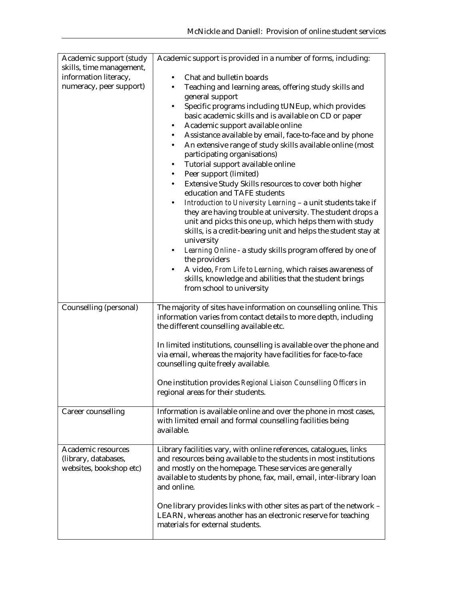| Academic support (study  | Academic support is provided in a number of forms, including:                                          |
|--------------------------|--------------------------------------------------------------------------------------------------------|
| skills, time management, |                                                                                                        |
| information literacy,    | Chat and bulletin boards                                                                               |
| numeracy, peer support)  | Teaching and learning areas, offering study skills and<br>$\bullet$                                    |
|                          | general support                                                                                        |
|                          | Specific programs including tUNEup, which provides<br>$\bullet$                                        |
|                          | basic academic skills and is available on CD or paper                                                  |
|                          | Academic support available online<br>٠                                                                 |
|                          | Assistance available by email, face-to-face and by phone<br>٠                                          |
|                          | An extensive range of study skills available online (most<br>$\bullet$<br>participating organisations) |
|                          | Tutorial support available online<br>$\bullet$                                                         |
|                          | Peer support (limited)<br>$\bullet$                                                                    |
|                          | Extensive Study Skills resources to cover both higher<br>$\bullet$                                     |
|                          | education and TAFE students                                                                            |
|                          | Introduction to University Learning - a unit students take if                                          |
|                          | they are having trouble at university. The student drops a                                             |
|                          | unit and picks this one up, which helps them with study                                                |
|                          | skills, is a credit-bearing unit and helps the student stay at                                         |
|                          | university                                                                                             |
|                          | Learning Online - a study skills program offered by one of<br>the providers                            |
|                          | A video, From Life to Learning, which raises awareness of                                              |
|                          | skills, knowledge and abilities that the student brings                                                |
|                          | from school to university                                                                              |
|                          |                                                                                                        |
| Counselling (personal)   | The majority of sites have information on counselling online. This                                     |
|                          | information varies from contact details to more depth, including                                       |
|                          | the different counselling available etc.                                                               |
|                          | In limited institutions, counselling is available over the phone and                                   |
|                          | via email, whereas the majority have facilities for face-to-face                                       |
|                          | counselling quite freely available.                                                                    |
|                          |                                                                                                        |
|                          | One institution provides Regional Liaison Counselling Officers in                                      |
|                          | regional areas for their students.                                                                     |
| Career counselling       | Information is available online and over the phone in most cases,                                      |
|                          | with limited email and formal counselling facilities being                                             |
|                          | available.                                                                                             |
|                          |                                                                                                        |
| Academic resources       | Library facilities vary, with online references, catalogues, links                                     |
| (library, databases,     | and resources being available to the students in most institutions                                     |
| websites, bookshop etc)  | and mostly on the homepage. These services are generally                                               |
|                          | available to students by phone, fax, mail, email, inter-library loan<br>and online.                    |
|                          |                                                                                                        |
|                          | One library provides links with other sites as part of the network -                                   |
|                          | LEARN, whereas another has an electronic reserve for teaching                                          |
|                          | materials for external students.                                                                       |
|                          |                                                                                                        |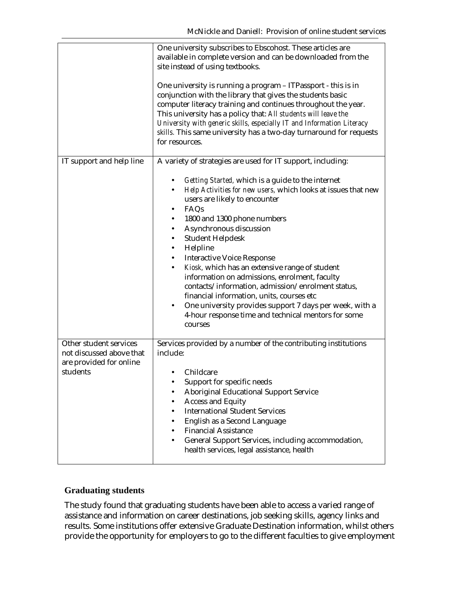|                                                                                           | One university subscribes to Ebscohost. These articles are<br>available in complete version and can be downloaded from the<br>site instead of using textbooks.<br>One university is running a program - ITPassport - this is in<br>conjunction with the library that gives the students basic<br>computer literacy training and continues throughout the year.<br>This university has a policy that: All students will leave the<br>University with generic skills, especially IT and Information Literacy<br>skills. This same university has a two-day turnaround for requests<br>for resources.                                                                                                      |
|-------------------------------------------------------------------------------------------|---------------------------------------------------------------------------------------------------------------------------------------------------------------------------------------------------------------------------------------------------------------------------------------------------------------------------------------------------------------------------------------------------------------------------------------------------------------------------------------------------------------------------------------------------------------------------------------------------------------------------------------------------------------------------------------------------------|
| IT support and help line                                                                  | A variety of strategies are used for IT support, including:<br>Getting Started, which is a guide to the internet<br>Help Activities for new users, which looks at issues that new<br>users are likely to encounter<br>FAQs<br>1800 and 1300 phone numbers<br>Asynchronous discussion<br><b>Student Helpdesk</b><br>٠<br>Helpline<br><b>Interactive Voice Response</b><br>Kiosk, which has an extensive range of student<br>information on admissions, enrolment, faculty<br>contacts/information, admission/enrolment status,<br>financial information, units, courses etc<br>One university provides support 7 days per week, with a<br>4-hour response time and technical mentors for some<br>courses |
| Other student services<br>not discussed above that<br>are provided for online<br>students | Services provided by a number of the contributing institutions<br>include:<br>Childcare<br>Support for specific needs<br><b>Aboriginal Educational Support Service</b><br><b>Access and Equity</b><br><b>International Student Services</b><br>English as a Second Language<br><b>Financial Assistance</b><br>General Support Services, including accommodation,<br>health services, legal assistance, health                                                                                                                                                                                                                                                                                           |

#### **Graduating students**

The study found that graduating students have been able to access a varied range of assistance and information on career destinations, job seeking skills, agency links and results. Some institutions offer extensive Graduate Destination information, whilst others provide the opportunity for employers to go to the different faculties to give employment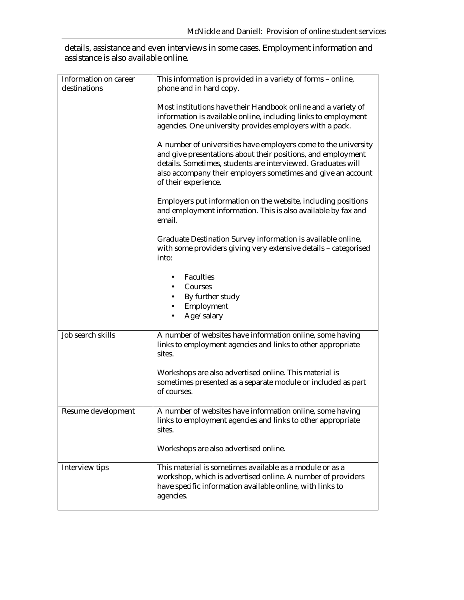details, assistance and even interviews in some cases. Employment information and assistance is also available online.

| Information on career | This information is provided in a variety of forms - online,                                                                                                                                                                                                                                                                                                                                                                                                                          |
|-----------------------|---------------------------------------------------------------------------------------------------------------------------------------------------------------------------------------------------------------------------------------------------------------------------------------------------------------------------------------------------------------------------------------------------------------------------------------------------------------------------------------|
| destinations          | phone and in hard copy.                                                                                                                                                                                                                                                                                                                                                                                                                                                               |
|                       | Most institutions have their Handbook online and a variety of<br>information is available online, including links to employment<br>agencies. One university provides employers with a pack.<br>A number of universities have employers come to the university<br>and give presentations about their positions, and employment<br>details. Sometimes, students are interviewed. Graduates will<br>also accompany their employers sometimes and give an account<br>of their experience. |
|                       | Employers put information on the website, including positions<br>and employment information. This is also available by fax and<br>email.                                                                                                                                                                                                                                                                                                                                              |
|                       | Graduate Destination Survey information is available online,<br>with some providers giving very extensive details - categorised<br>into:                                                                                                                                                                                                                                                                                                                                              |
|                       | Faculties                                                                                                                                                                                                                                                                                                                                                                                                                                                                             |
|                       | Courses                                                                                                                                                                                                                                                                                                                                                                                                                                                                               |
|                       | By further study<br>Employment                                                                                                                                                                                                                                                                                                                                                                                                                                                        |
|                       | Age/salary                                                                                                                                                                                                                                                                                                                                                                                                                                                                            |
|                       |                                                                                                                                                                                                                                                                                                                                                                                                                                                                                       |
| Job search skills     | A number of websites have information online, some having<br>links to employment agencies and links to other appropriate<br>sites.                                                                                                                                                                                                                                                                                                                                                    |
|                       | Workshops are also advertised online. This material is<br>sometimes presented as a separate module or included as part<br>of courses.                                                                                                                                                                                                                                                                                                                                                 |
| Resume development    | A number of websites have information online, some having<br>links to employment agencies and links to other appropriate<br>sites.                                                                                                                                                                                                                                                                                                                                                    |
|                       | Workshops are also advertised online.                                                                                                                                                                                                                                                                                                                                                                                                                                                 |
| Interview tips        | This material is sometimes available as a module or as a<br>workshop, which is advertised online. A number of providers<br>have specific information available online, with links to<br>agencies.                                                                                                                                                                                                                                                                                     |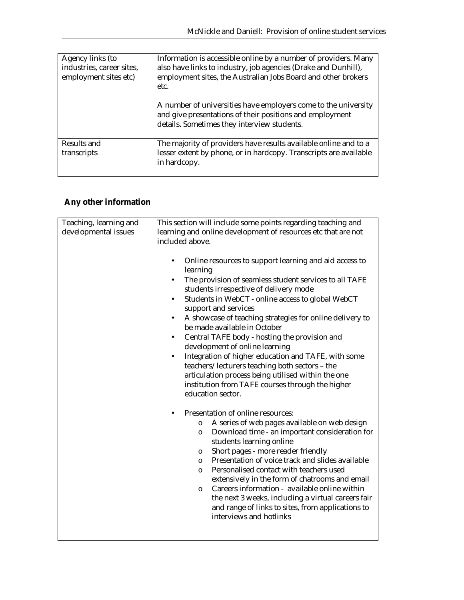| Agency links (to<br>industries, career sites,<br>employment sites etc) | Information is accessible online by a number of providers. Many<br>also have links to industry, job agencies (Drake and Dunhill),<br>employment sites, the Australian Jobs Board and other brokers<br>etc. |
|------------------------------------------------------------------------|------------------------------------------------------------------------------------------------------------------------------------------------------------------------------------------------------------|
|                                                                        | A number of universities have employers come to the university<br>and give presentations of their positions and employment<br>details. Sometimes they interview students.                                  |
| Results and<br>transcripts                                             | The majority of providers have results available online and to a<br>lesser extent by phone, or in hardcopy. Transcripts are available<br>in hardcopy.                                                      |

# **Any other information**

| Teaching, learning and<br>This section will include some points regarding teaching and<br>developmental issues<br>learning and online development of resources etc that are not<br>included above.<br>Online resources to support learning and aid access to<br>$\bullet$<br>learning<br>The provision of seamless student services to all TAFE<br>$\bullet$<br>students irrespective of delivery mode<br>Students in WebCT - online access to global WebCT<br>$\bullet$<br>support and services<br>A showcase of teaching strategies for online delivery to<br>$\bullet$<br>be made available in October<br>Central TAFE body - hosting the provision and<br>$\bullet$<br>development of online learning<br>Integration of higher education and TAFE, with some<br>$\bullet$<br>teachers/lecturers teaching both sectors - the<br>articulation process being utilised within the one<br>institution from TAFE courses through the higher<br>education sector.<br>Presentation of online resources:<br>A series of web pages available on web design<br>$\circ$<br>Download time - an important consideration for<br>$\circ$<br>students learning online<br>Short pages - more reader friendly<br>$\circ$<br>Presentation of voice track and slides available<br>$\circ$<br>Personalised contact with teachers used<br>$\circ$<br>extensively in the form of chatrooms and email<br>Careers information - available online within<br>$\circ$<br>the next 3 weeks, including a virtual careers fair<br>and range of links to sites, from applications to<br>interviews and hotlinks |  |
|------------------------------------------------------------------------------------------------------------------------------------------------------------------------------------------------------------------------------------------------------------------------------------------------------------------------------------------------------------------------------------------------------------------------------------------------------------------------------------------------------------------------------------------------------------------------------------------------------------------------------------------------------------------------------------------------------------------------------------------------------------------------------------------------------------------------------------------------------------------------------------------------------------------------------------------------------------------------------------------------------------------------------------------------------------------------------------------------------------------------------------------------------------------------------------------------------------------------------------------------------------------------------------------------------------------------------------------------------------------------------------------------------------------------------------------------------------------------------------------------------------------------------------------------------------------------------------|--|
|                                                                                                                                                                                                                                                                                                                                                                                                                                                                                                                                                                                                                                                                                                                                                                                                                                                                                                                                                                                                                                                                                                                                                                                                                                                                                                                                                                                                                                                                                                                                                                                    |  |
|                                                                                                                                                                                                                                                                                                                                                                                                                                                                                                                                                                                                                                                                                                                                                                                                                                                                                                                                                                                                                                                                                                                                                                                                                                                                                                                                                                                                                                                                                                                                                                                    |  |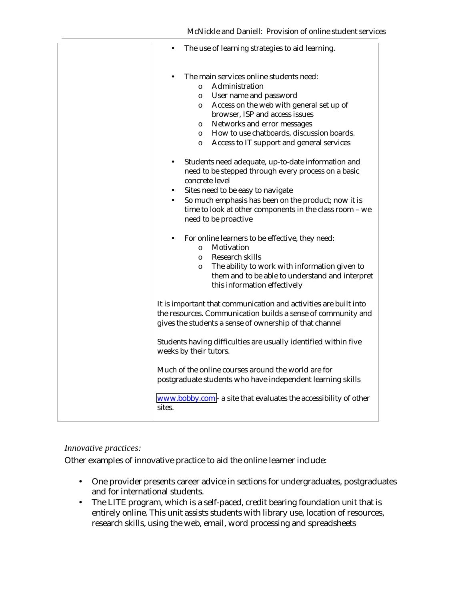|        | The use of learning strategies to aid learning.                                                                                                                                                                                                                                                                                                        |
|--------|--------------------------------------------------------------------------------------------------------------------------------------------------------------------------------------------------------------------------------------------------------------------------------------------------------------------------------------------------------|
|        | The main services online students need:<br>Administration<br>$\circ$<br>User name and password<br>$\circ$<br>Access on the web with general set up of<br>O<br>browser, ISP and access issues<br>Networks and error messages<br>$\circ$<br>How to use chatboards, discussion boards.<br>$\circ$<br>Access to IT support and general services<br>$\circ$ |
|        | Students need adequate, up-to-date information and<br>need to be stepped through every process on a basic<br>concrete level<br>Sites need to be easy to navigate<br>So much emphasis has been on the product; now it is<br>$\bullet$<br>time to look at other components in the class room - we<br>need to be proactive                                |
|        | For online learners to be effective, they need:<br>Motivation<br>$\circ$<br>Research skills<br>$\circ$<br>The ability to work with information given to<br>$\circ$<br>them and to be able to understand and interpret<br>this information effectively                                                                                                  |
|        | It is important that communication and activities are built into<br>the resources. Communication builds a sense of community and<br>gives the students a sense of ownership of that channel                                                                                                                                                            |
|        | Students having difficulties are usually identified within five<br>weeks by their tutors.                                                                                                                                                                                                                                                              |
|        | Much of the online courses around the world are for<br>postgraduate students who have independent learning skills                                                                                                                                                                                                                                      |
| sites. | $www.bobby.com - a site that evaluates the accessibility of other$                                                                                                                                                                                                                                                                                     |

#### *Innovative practices:*

Other examples of innovative practice to aid the online learner include:

- One provider presents career advice in sections for undergraduates, postgraduates and for international students.
- The LITE program, which is a self-paced, credit bearing foundation unit that is entirely online. This unit assists students with library use, location of resources, research skills, using the web, email, word processing and spreadsheets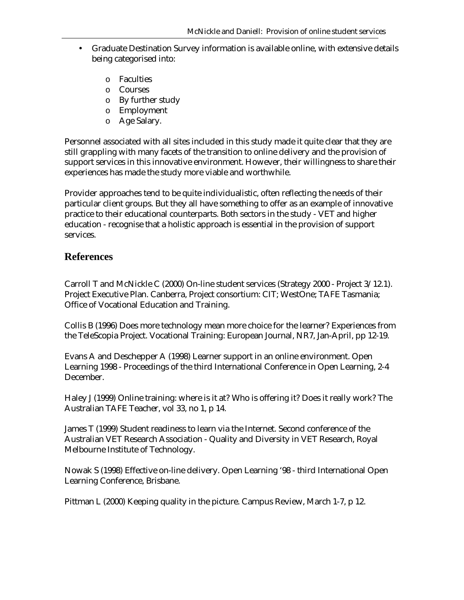- Graduate Destination Survey information is available online, with extensive details being categorised into:
	- o Faculties
	- o Courses
	- o By further study
	- o Employment
	- o Age Salary.

Personnel associated with all sites included in this study made it quite clear that they are still grappling with many facets of the transition to online delivery and the provision of support services in this innovative environment. However, their willingness to share their experiences has made the study more viable and worthwhile.

Provider approaches tend to be quite individualistic, often reflecting the needs of their particular client groups. But they all have something to offer as an example of innovative practice to their educational counterparts. Both sectors in the study - VET and higher education - recognise that a holistic approach is essential in the provision of support services.

## **References**

Carroll T and McNickle C (2000) On-line student services (Strategy 2000 - Project 3/12.1). Project Executive Plan. Canberra, Project consortium: CIT; WestOne; TAFE Tasmania; Office of Vocational Education and Training.

Collis B (1996) Does more technology mean more choice for the learner? Experiences from the TeleScopia Project. Vocational Training: European Journal, NR7, Jan-April, pp 12-19.

Evans A and Deschepper A (1998) Learner support in an online environment. Open Learning 1998 - Proceedings of the third International Conference in Open Learning, 2-4 December.

Haley J (1999) Online training: where is it at? Who is offering it? Does it really work? The Australian TAFE Teacher, vol 33, no 1, p 14.

James T (1999) Student readiness to learn via the Internet. Second conference of the Australian VET Research Association - Quality and Diversity in VET Research, Royal Melbourne Institute of Technology.

Nowak S (1998) Effective on-line delivery. Open Learning '98 - third International Open Learning Conference, Brisbane.

Pittman L (2000) Keeping quality in the picture. Campus Review, March 1-7, p 12.